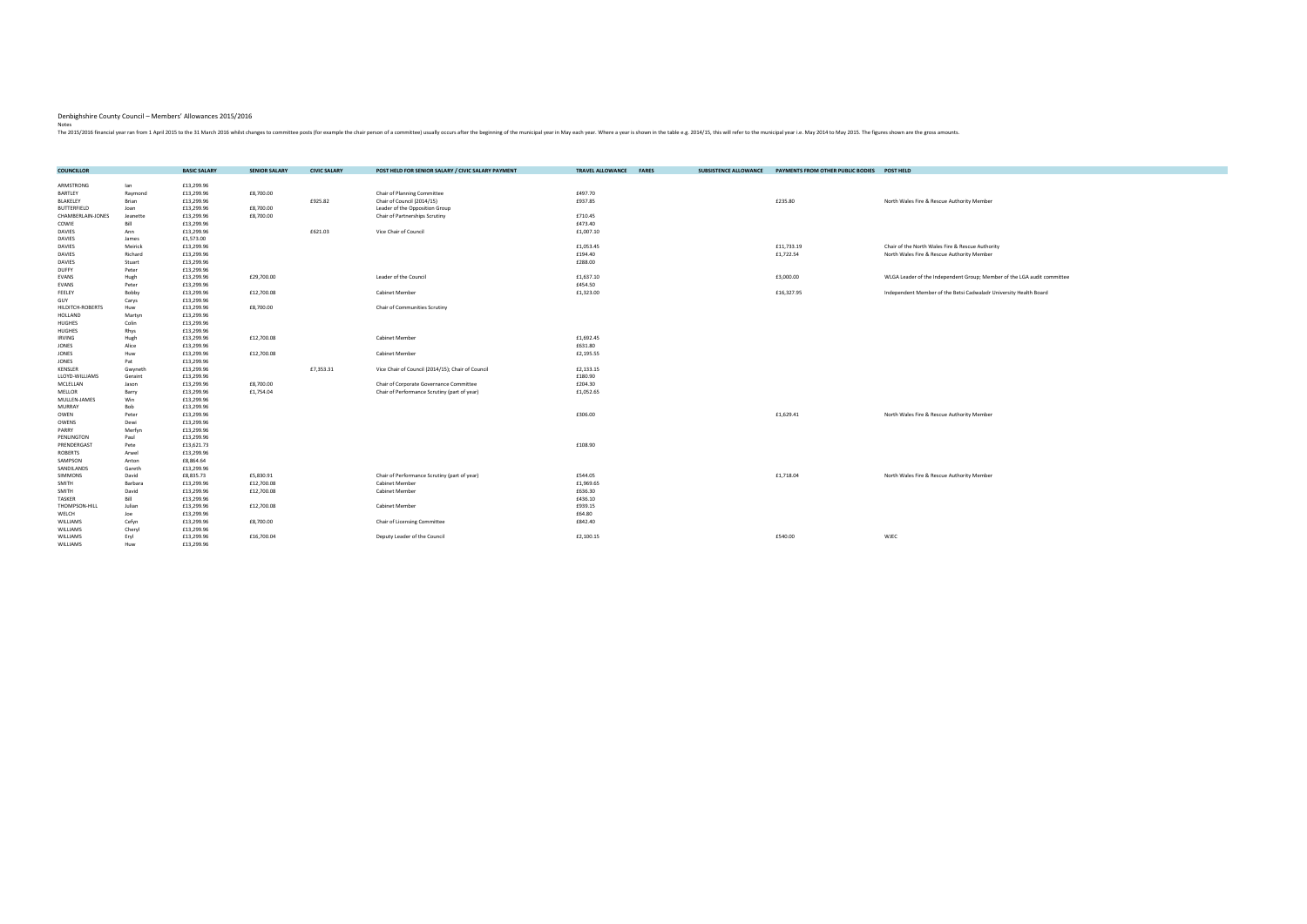| <b>COUNCILLOR</b>     |          | <b>BASIC SALARY</b> | <b>SENIOR SALARY</b> | <b>CIVIC SALARY</b> | POST HELD FOR SENIOR SALARY / CIVIC SALARY PAYMENT | <b>TRAVEL ALLOWANCE</b> | <b>FARES</b> | <b>SUBSISTENCE ALLOWANCE</b> | PAYMENTS FROM OTHER PUBLIC BODIES POST HELD |                                                                         |
|-----------------------|----------|---------------------|----------------------|---------------------|----------------------------------------------------|-------------------------|--------------|------------------------------|---------------------------------------------|-------------------------------------------------------------------------|
|                       |          |                     |                      |                     |                                                    |                         |              |                              |                                             |                                                                         |
| ARMSTRONG             | lan      | £13,299.96          |                      |                     |                                                    |                         |              |                              |                                             |                                                                         |
| BARTLEY               | Raymond  | £13,299.96          | £8,700.00            |                     | Chair of Planning Committee                        | £497.70                 |              |                              |                                             |                                                                         |
| BLAKELEY              | Brian    | £13,299.96          |                      | £925.82             | Chair of Council (2014/15)                         | £937.85                 |              |                              | £235.80                                     | North Wales Fire & Rescue Authority Member                              |
| <b>BUTTERFIELD</b>    | Joan     | £13,299.96          | £8,700.00            |                     | Leader of the Opposition Group                     |                         |              |                              |                                             |                                                                         |
| CHAMBERLAIN-JONES     | Jeanette | £13,299.96          | £8,700.00            |                     | Chair of Partnerships Scrutiny                     | £710.45                 |              |                              |                                             |                                                                         |
| COWIE                 | Bill     | £13,299.96          |                      |                     |                                                    | £473.40                 |              |                              |                                             |                                                                         |
| <b>DAVIES</b>         | Ann      | £13,299.96          |                      | £621.03             | Vice Chair of Council                              | £1,007.10               |              |                              |                                             |                                                                         |
| <b>DAVIES</b>         | James    | £1,573.00           |                      |                     |                                                    |                         |              |                              |                                             |                                                                         |
| <b>DAVIES</b>         | Meirick  | £13,299.96          |                      |                     |                                                    | £1,053.45               |              |                              | £11,733.19                                  | Chair of the North Wales Fire & Rescue Authority                        |
| <b>DAVIES</b>         | Richard  | £13,299.96          |                      |                     |                                                    | £194.40                 |              |                              | £1,722.54                                   | North Wales Fire & Rescue Authority Member                              |
| <b>DAVIES</b>         | Stuart   | £13,299.96          |                      |                     |                                                    | £288.00                 |              |                              |                                             |                                                                         |
| <b>DUFFY</b>          | Peter    | £13,299.96          |                      |                     |                                                    |                         |              |                              |                                             |                                                                         |
| EVANS                 | Hugh     | £13,299.96          | £29,700.00           |                     | Leader of the Council                              | £1,637.10               |              |                              | £3,000.00                                   | WLGA Leader of the Independent Group; Member of the LGA audit committee |
| EVANS                 | Peter    | £13,299.96          |                      |                     |                                                    | £454.50                 |              |                              |                                             |                                                                         |
| FEELEY                | Bobby    | £13,299.96          | £12,700.08           |                     | Cabinet Member                                     | £1,323.00               |              |                              | £16,327.95                                  | Independent Member of the Betsi Cadwaladr University Health Board       |
| GUY                   | Carys    | £13,299.96          |                      |                     |                                                    |                         |              |                              |                                             |                                                                         |
| HILDITCH-ROBERTS      | Huw      | £13,299.96          | £8,700.00            |                     | Chair of Communities Scrutiny                      |                         |              |                              |                                             |                                                                         |
| HOLLAND               | Martyn   | £13,299.96          |                      |                     |                                                    |                         |              |                              |                                             |                                                                         |
| <b>HUGHES</b>         | Colin    | £13,299.96          |                      |                     |                                                    |                         |              |                              |                                             |                                                                         |
| <b>HUGHES</b>         | Rhys     | £13,299.96          |                      |                     |                                                    |                         |              |                              |                                             |                                                                         |
| <b>IRVING</b>         | Hugh     | £13,299.96          | £12,700.08           |                     | Cabinet Member                                     | £1,692.45               |              |                              |                                             |                                                                         |
| JONES                 | Alice    | £13,299.96          |                      |                     |                                                    | £631.80                 |              |                              |                                             |                                                                         |
| <b>JONES</b>          | Huw      | £13,299.96          | £12,700.08           |                     | Cabinet Member                                     | £2,195.55               |              |                              |                                             |                                                                         |
| JONES                 | Pat      | £13,299.96          |                      |                     |                                                    |                         |              |                              |                                             |                                                                         |
| KENSLER               | Gwyneth  | £13,299.96          |                      | £7,353.31           | Vice Chair of Council (2014/15); Chair of Council  | £2,133.15               |              |                              |                                             |                                                                         |
| LLOYD-WILLIAMS        | Geraint  | £13,299.96          |                      |                     |                                                    | £180.90                 |              |                              |                                             |                                                                         |
| MCLELLAN              | Jason    | £13,299.96          | £8,700.00            |                     | Chair of Corporate Governance Committee            | £204.30                 |              |                              |                                             |                                                                         |
| MELLOR                | Barry    | £13,299.96          | £1,754.04            |                     | Chair of Performance Scrutiny (part of year)       | £1,052.65               |              |                              |                                             |                                                                         |
| MULLEN-JAMES          | Win      | £13,299.96          |                      |                     |                                                    |                         |              |                              |                                             |                                                                         |
| <b>MURRAY</b>         | Bob      | £13,299.96          |                      |                     |                                                    |                         |              |                              |                                             |                                                                         |
| OWEN                  | Peter    | £13,299.96          |                      |                     |                                                    | £306.00                 |              |                              | £1,629.41                                   | North Wales Fire & Rescue Authority Member                              |
| OWENS                 | Dewi     | £13,299.96          |                      |                     |                                                    |                         |              |                              |                                             |                                                                         |
| PARRY                 | Merfyn   | £13,299.96          |                      |                     |                                                    |                         |              |                              |                                             |                                                                         |
| PENLINGTON            | Paul     | £13,299.96          |                      |                     |                                                    |                         |              |                              |                                             |                                                                         |
| PRENDERGAST           | Pete     | £13,621.73          |                      |                     |                                                    | £108.90                 |              |                              |                                             |                                                                         |
| <b>ROBERTS</b>        | Arwel    | £13,299.96          |                      |                     |                                                    |                         |              |                              |                                             |                                                                         |
|                       | Anton    | £8,864.64           |                      |                     |                                                    |                         |              |                              |                                             |                                                                         |
| SAMPSON<br>SANDILANDS | Gareth   | £13,299.96          |                      |                     |                                                    |                         |              |                              |                                             |                                                                         |
| <b>SIMMONS</b>        | David    | £8,835.73           | £5,830.91            |                     | Chair of Performance Scrutiny (part of year)       | £544.05                 |              |                              | £1,718.04                                   |                                                                         |
| SMITH                 | Barbara  | £13,299.96          | £12,700.08           |                     | Cabinet Member                                     | £1,969.65               |              |                              |                                             | North Wales Fire & Rescue Authority Member                              |
| <b>SMITH</b>          | David    |                     |                      |                     |                                                    | £636.30                 |              |                              |                                             |                                                                         |
| <b>TASKER</b>         | Bill     | £13,299.96          | £12,700.08           |                     | Cabinet Member                                     | £436.10                 |              |                              |                                             |                                                                         |
|                       |          | £13,299.96          |                      |                     |                                                    |                         |              |                              |                                             |                                                                         |
| THOMPSON-HILL         | Julian   | £13,299.96          | £12,700.08           |                     | Cabinet Member                                     | £939.15                 |              |                              |                                             |                                                                         |
| WELCH                 | Joe      | £13,299.96          |                      |                     |                                                    | £64.80                  |              |                              |                                             |                                                                         |
| WILLIAMS              | Cefyn    | £13,299.96          | £8,700.00            |                     | Chair of Licensing Committee                       | £842.40                 |              |                              |                                             |                                                                         |
| WILLIAMS              | Cheryl   | £13,299.96          |                      |                     |                                                    |                         |              |                              |                                             |                                                                         |
| WILLIAMS              | Eryl     | £13,299.96          | £16,700.04           |                     | Deputy Leader of the Council                       | £2,100.15               |              |                              | £540.00                                     | WJEC                                                                    |
| WILLIAMS              | Huw      | £13,299.96          |                      |                     |                                                    |                         |              |                              |                                             |                                                                         |

## Denbighshire County Council – Members' Allowances 2015/2016

Notes<br>The 2015/2016 financial year ran from 1 April 2015 to the 31 March 2016 whilst changes to committee posts (for example the chair person of a committee) usually occurs after the beginning of the municipal year in May